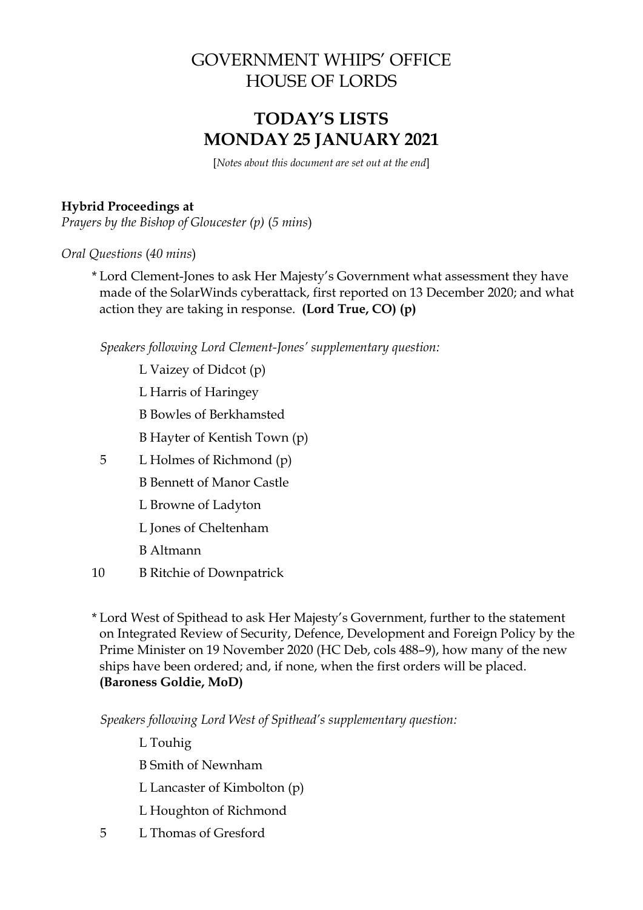# GOVERNMENT WHIPS' OFFICE HOUSE OF LORDS

# **TODAY'S LISTS MONDAY 25 JANUARY 2021**

[*Notes about this document are set out at the end*]

### **Hybrid Proceedings at**

*Prayers by the Bishop of Gloucester (p)* (*5 mins*)

*Oral Questions* (*40 mins*)

\* Lord Clement-Jones to ask Her Majesty's Government what assessment they have made of the SolarWinds cyberattack, first reported on 13 December 2020; and what action they are taking in response. **(Lord True, CO) (p)**

*Speakers following Lord Clement-Jones' supplementary question:*

- L Vaizey of Didcot (p)
- L Harris of Haringey
- B Bowles of Berkhamsted

B Hayter of Kentish Town (p)

- 5 L Holmes of Richmond (p)
	- B Bennett of Manor Castle
		- L Browne of Ladyton
		- L Jones of Cheltenham
		- B Altmann
- 10 B Ritchie of Downpatrick

\* Lord West of Spithead to ask Her Majesty's Government, further to the statement on Integrated Review of Security, Defence, Development and Foreign Policy by the Prime Minister on 19 November 2020 (HC Deb, cols 488–9), how many of the new ships have been ordered; and, if none, when the first orders will be placed. **(Baroness Goldie, MoD)**

*Speakers following Lord West of Spithead's supplementary question:*

L Touhig B Smith of Newnham

- L Lancaster of Kimbolton (p)
- L Houghton of Richmond
- 5 L Thomas of Gresford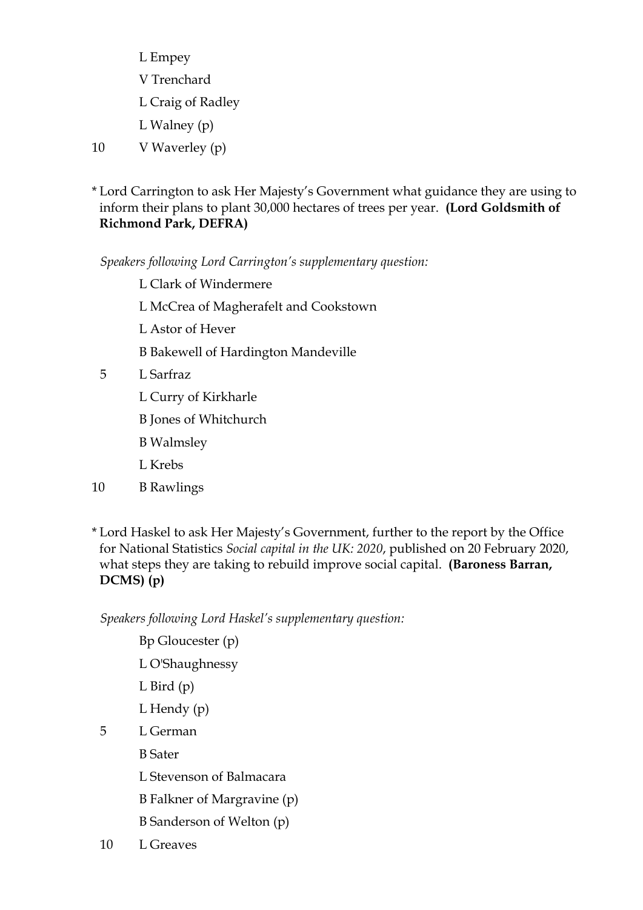- L Empey V Trenchard L Craig of Radley L Walney (p) 10 V Waverley (p)
- \* Lord Carrington to ask Her Majesty's Government what guidance they are using to inform their plans to plant 30,000 hectares of trees per year. **(Lord Goldsmith of Richmond Park, DEFRA)**

*Speakers following Lord Carrington's supplementary question:*

- L Clark of Windermere
- L McCrea of Magherafelt and Cookstown
- L Astor of Hever
- B Bakewell of Hardington Mandeville
- 5 L Sarfraz
	- L Curry of Kirkharle
	- B Jones of Whitchurch
	- B Walmsley
	- L Krebs
- 10 B Rawlings
- \* Lord Haskel to ask Her Majesty's Government, further to the report by the Office for National Statistics *Social capital in the UK: 2020*, published on 20 February 2020, what steps they are taking to rebuild improve social capital. **(Baroness Barran, DCMS) (p)**

*Speakers following Lord Haskel's supplementary question:*

- Bp Gloucester (p)
- L O'Shaughnessy
- L Bird (p)
- L Hendy (p)
- 5 L German

B Sater

- L Stevenson of Balmacara
- B Falkner of Margravine (p)
- B Sanderson of Welton (p)
- 10 L Greaves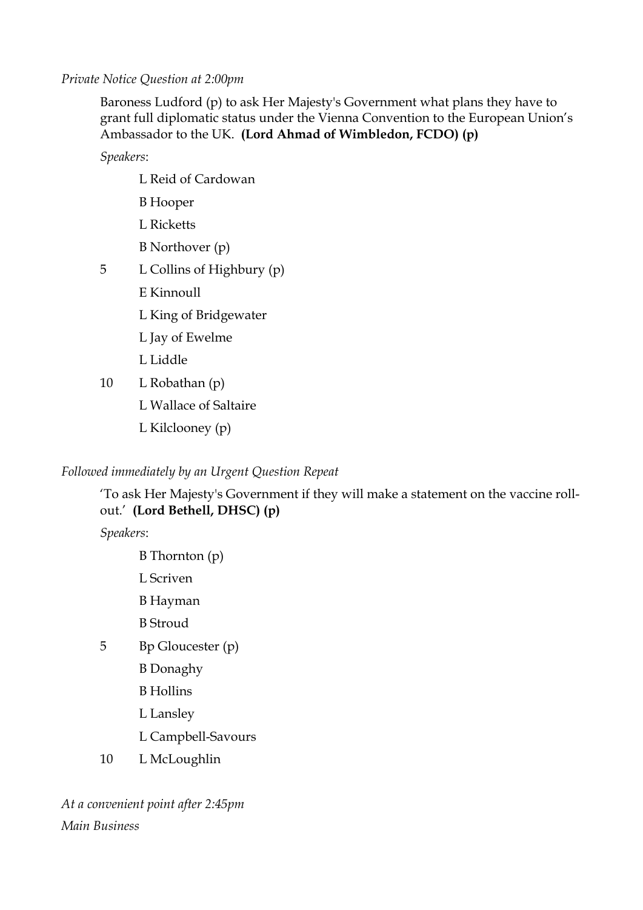*Private Notice Question at 2:00pm*

Baroness Ludford (p) to ask Her Majesty's Government what plans they have to grant full diplomatic status under the Vienna Convention to the European Union's Ambassador to the UK. **(Lord Ahmad of Wimbledon, FCDO) (p)**

*Speakers*:

- L Reid of Cardowan
- B Hooper
- L Ricketts
- B Northover (p)
- 5 L Collins of Highbury (p)
	- E Kinnoull
	- L King of Bridgewater
	- L Jay of Ewelme
	- L Liddle
- 10 L Robathan (p)
	- L Wallace of Saltaire
	- L Kilclooney (p)

*Followed immediately by an Urgent Question Repeat*

'To ask Her Majesty's Government if they will make a statement on the vaccine rollout.' **(Lord Bethell, DHSC) (p)**

*Speakers*:

- B Thornton (p) L Scriven B Hayman B Stroud 5 Bp Gloucester (p) B Donaghy
	- B Hollins
	- L Lansley
	- L Campbell-Savours
- 10 L McLoughlin

*At a convenient point after 2:45pm Main Business*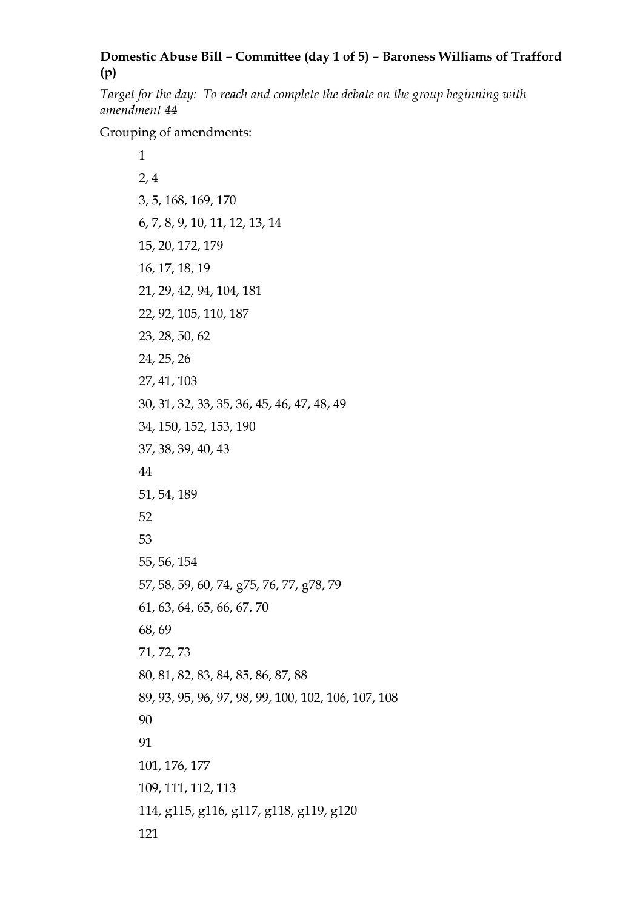### **Domestic Abuse Bill – Committee (day 1 of 5) – Baroness Williams of Trafford (p)**

*Target for the day: To reach and complete the debate on the group beginning with amendment 44*

Grouping of amendments:

1 2, 4 3, 5, 168, 169, 170 6, 7, 8, 9, 10, 11, 12, 13, 14 15, 20, 172, 179 16, 17, 18, 19 21, 29, 42, 94, 104, 181 22, 92, 105, 110, 187 23, 28, 50, 62 24, 25, 26 27, 41, 103 30, 31, 32, 33, 35, 36, 45, 46, 47, 48, 49 34, 150, 152, 153, 190 37, 38, 39, 40, 43 44 51, 54, 189 52 53 55, 56, 154 57, 58, 59, 60, 74, g75, 76, 77, g78, 79 61, 63, 64, 65, 66, 67, 70 68, 69 71, 72, 73 80, 81, 82, 83, 84, 85, 86, 87, 88 89, 93, 95, 96, 97, 98, 99, 100, 102, 106, 107, 108 90 91 101, 176, 177 109, 111, 112, 113 114, g115, g116, g117, g118, g119, g120 121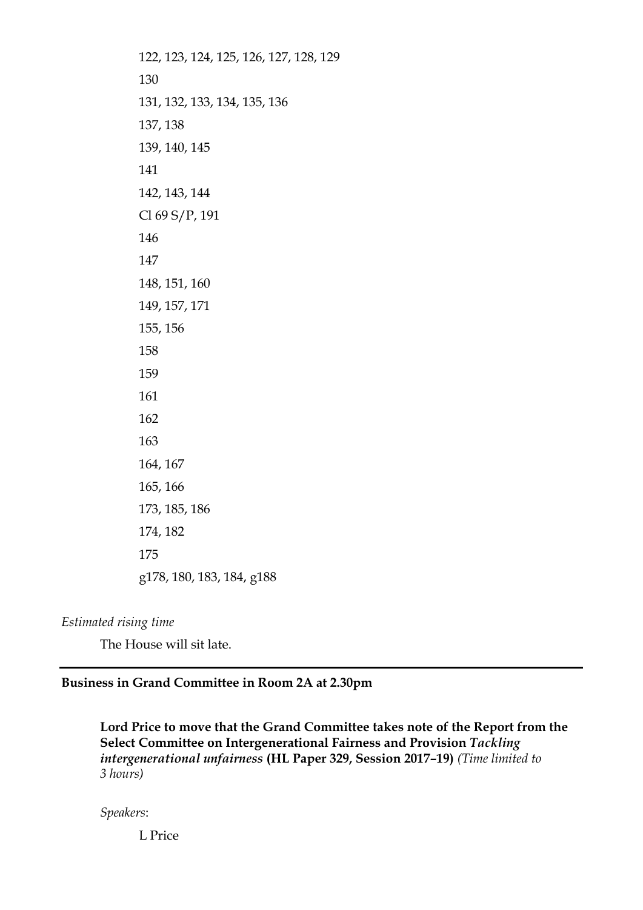122, 123, 124, 125, 126, 127, 128, 129 130 131, 132, 133, 134, 135, 136 137, 138 139, 140, 145 141 142, 143, 144 Cl 69 S/P, 191 146 147 148, 151, 160 149, 157, 171 155, 156 158 159 161 162 163 164, 167 165, 166 173, 185, 186 174, 182 175 g178, 180, 183, 184, g188

*Estimated rising time* 

The House will sit late.

#### **Business in Grand Committee in Room 2A at 2.30pm**

**Lord Price to move that the Grand Committee takes note of the Report from the Select Committee on Intergenerational Fairness and Provision** *Tackling intergenerational unfairness* **(HL Paper 329, Session 2017–19)** *(Time limited to 3 hours)*

*Speakers*:

L Price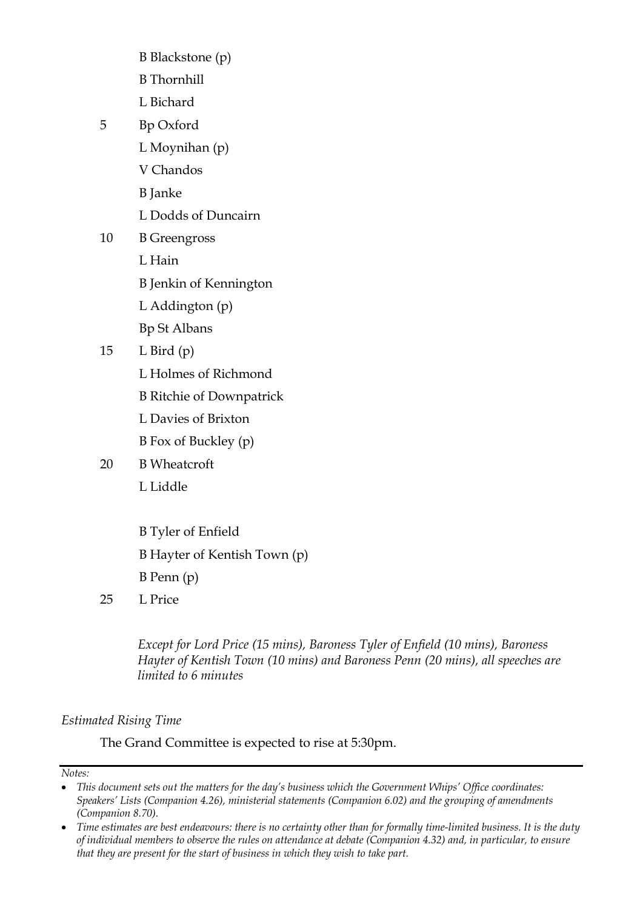- B Blackstone (p)
- B Thornhill
- L Bichard
- 5 Bp Oxford
	- L Moynihan (p)
	- V Chandos
	- B Janke
	- L Dodds of Duncairn
- 10 B Greengross
	- L Hain
	- B Jenkin of Kennington
	- L Addington (p)
	- Bp St Albans
- 15  $L$  Bird (p)
	- L Holmes of Richmond
	- B Ritchie of Downpatrick
	- L Davies of Brixton
	- B Fox of Buckley (p)
- 20 B Wheatcroft L Liddle
	- B Tyler of Enfield B Hayter of Kentish Town (p) B Penn (p)
- 25 L Price

*Except for Lord Price (15 mins), Baroness Tyler of Enfield (10 mins), Baroness Hayter of Kentish Town (10 mins) and Baroness Penn (20 mins), all speeches are limited to 6 minutes* 

## *Estimated Rising Time*

The Grand Committee is expected to rise at 5:30pm.

*Notes:*

<sup>•</sup> *This document sets out the matters for the day's business which the Government Whips' Office coordinates: Speakers' Lists (Companion 4.26), ministerial statements (Companion 6.02) and the grouping of amendments (Companion 8.70).* 

<sup>•</sup> *Time estimates are best endeavours: there is no certainty other than for formally time-limited business. It is the duty of individual members to observe the rules on attendance at debate (Companion 4.32) and, in particular, to ensure that they are present for the start of business in which they wish to take part.*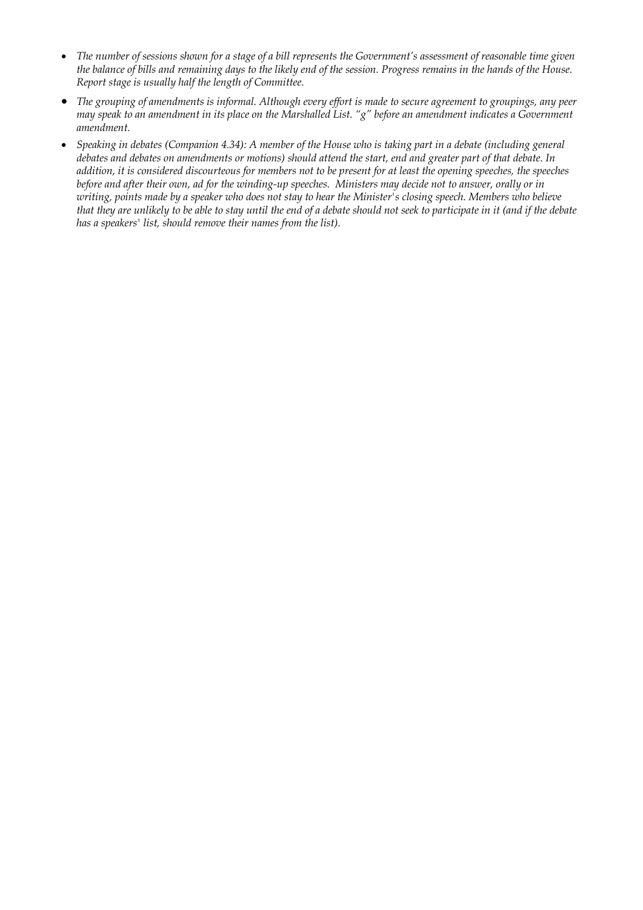- *The number of sessions shown for a stage of a bill represents the Government's assessment of reasonable time given the balance of bills and remaining days to the likely end of the session. Progress remains in the hands of the House. Report stage is usually half the length of Committee.*
- *The grouping of amendments is informal. Although every effort is made to secure agreement to groupings, any peer may speak to an amendment in its place on the Marshalled List. "g" before an amendment indicates a Government amendment.*
- *Speaking in debates (Companion 4.34): A member of the House who is taking part in a debate (including general debates and debates on amendments or motions) should attend the start, end and greater part of that debate. In addition, it is considered discourteous for members not to be present for at least the opening speeches, the speeches before and after their own, ad for the winding-up speeches. Ministers may decide not to answer, orally or in writing, points made by a speaker who does not stay to hear the Minister's closing speech. Members who believe that they are unlikely to be able to stay until the end of a debate should not seek to participate in it (and if the debate has a speakers' list, should remove their names from the list).*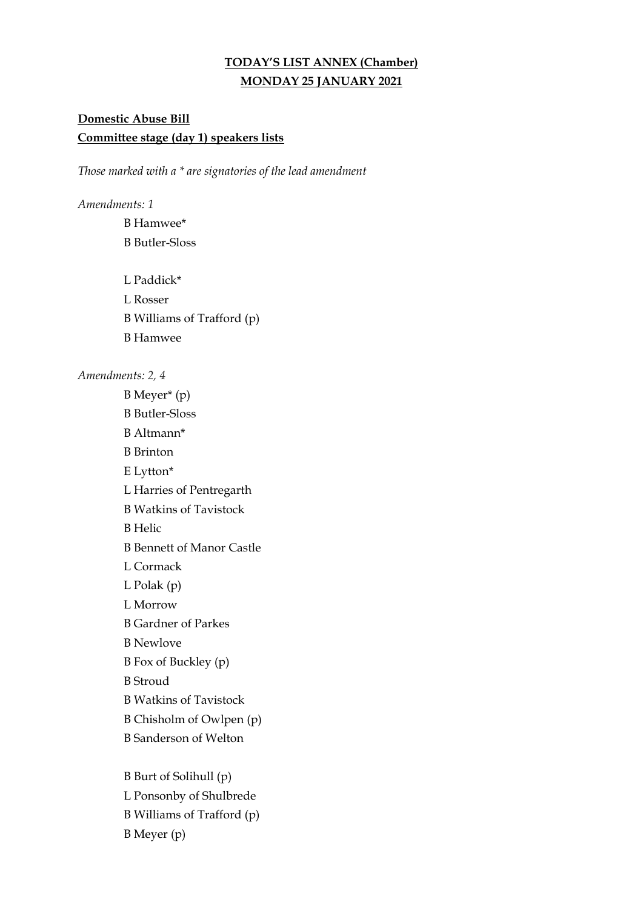## **TODAY'S LIST ANNEX (Chamber) MONDAY 25 JANUARY 2021**

## **Domestic Abuse Bill Committee stage (day 1) speakers lists**

*Those marked with a \* are signatories of the lead amendment*

*Amendments: 1* B Hamwee\* B Butler-Sloss L Paddick\* L Rosser B Williams of Trafford (p) B Hamwee *Amendments: 2, 4* B Meyer\* (p) B Butler-Sloss B Altmann\* B Brinton E Lytton\* L Harries of Pentregarth B Watkins of Tavistock B Helic B Bennett of Manor Castle L Cormack L Polak (p) L Morrow B Gardner of Parkes B Newlove B Fox of Buckley (p) B Stroud B Watkins of Tavistock B Chisholm of Owlpen (p) B Sanderson of Welton B Burt of Solihull (p)

L Ponsonby of Shulbrede B Williams of Trafford (p) B Meyer (p)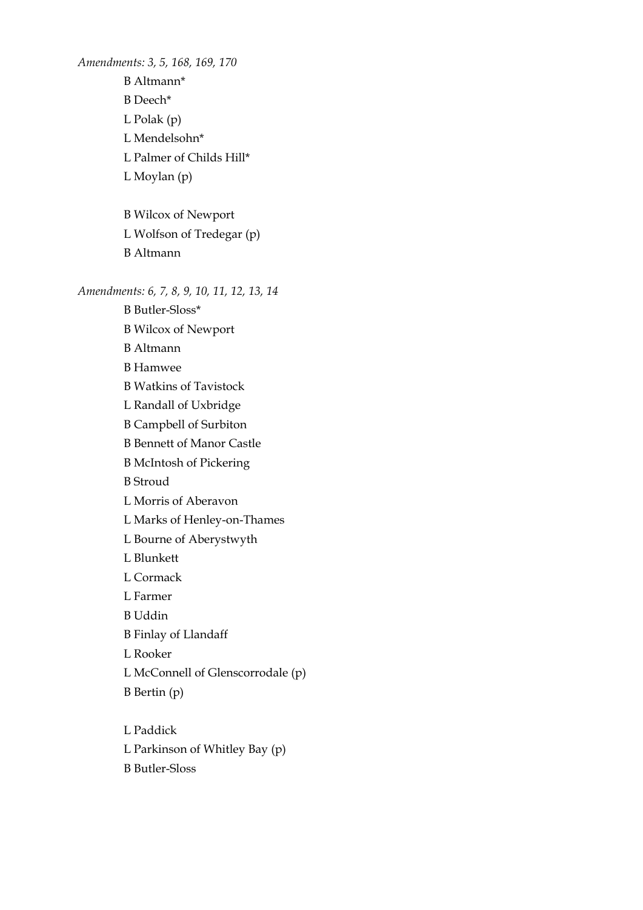*Amendments: 3, 5, 168, 169, 170* B Altmann\* B Deech\* L Polak (p) L Mendelsohn\* L Palmer of Childs Hill\* L Moylan (p)

> B Wilcox of Newport L Wolfson of Tredegar (p) B Altmann

*Amendments: 6, 7, 8, 9, 10, 11, 12, 13, 14*

B Butler-Sloss\*

B Wilcox of Newport

B Altmann

B Hamwee

B Watkins of Tavistock

L Randall of Uxbridge

B Campbell of Surbiton

B Bennett of Manor Castle

B McIntosh of Pickering

B Stroud

L Morris of Aberavon

L Marks of Henley-on-Thames

L Bourne of Aberystwyth

L Blunkett

L Cormack

L Farmer

B Uddin

B Finlay of Llandaff

L Rooker

L McConnell of Glenscorrodale (p)

B Bertin (p)

L Paddick L Parkinson of Whitley Bay (p) B Butler-Sloss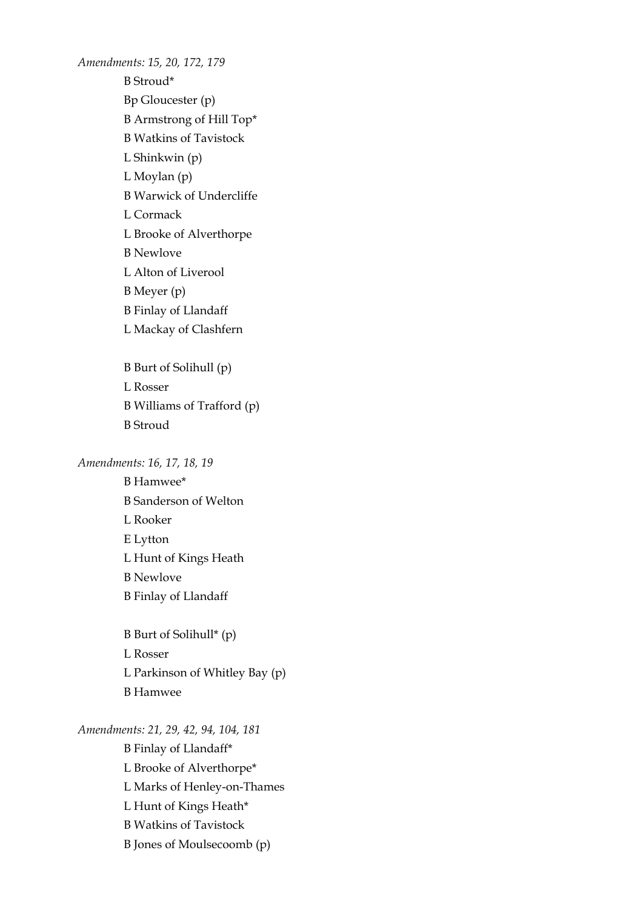*Amendments: 15, 20, 172, 179* B Stroud\* Bp Gloucester (p) B Armstrong of Hill Top\* B Watkins of Tavistock L Shinkwin (p) L Moylan (p) B Warwick of Undercliffe L Cormack L Brooke of Alverthorpe B Newlove L Alton of Liverool B Meyer (p) B Finlay of Llandaff L Mackay of Clashfern B Burt of Solihull (p) L Rosser B Williams of Trafford (p) B Stroud

*Amendments: 16, 17, 18, 19*

B Hamwee\* B Sanderson of Welton L Rooker E Lytton L Hunt of Kings Heath B Newlove B Finlay of Llandaff

B Burt of Solihull\* (p) L Rosser L Parkinson of Whitley Bay (p) B Hamwee

*Amendments: 21, 29, 42, 94, 104, 181* B Finlay of Llandaff\* L Brooke of Alverthorpe\* L Marks of Henley-on-Thames L Hunt of Kings Heath\* B Watkins of Tavistock B Jones of Moulsecoomb (p)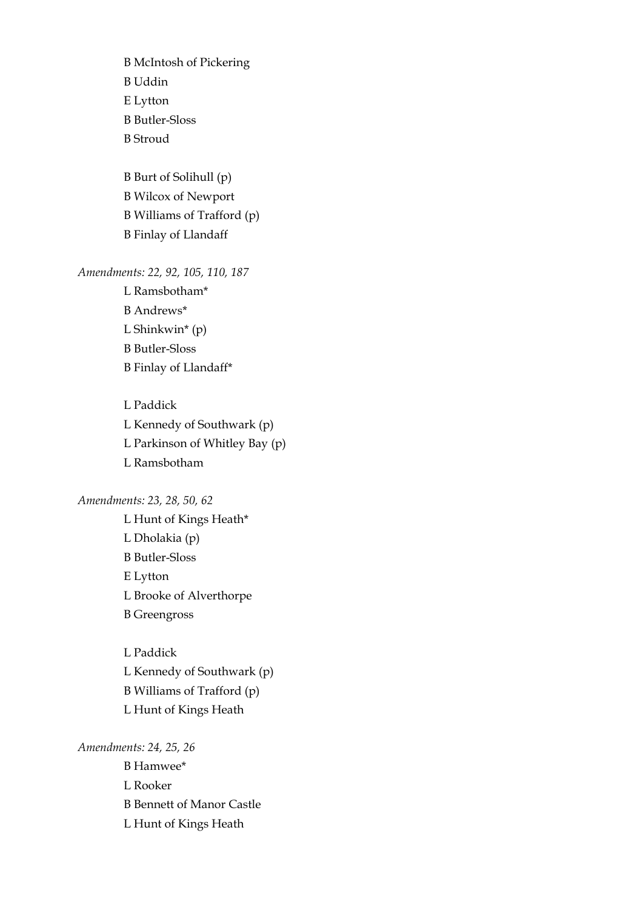B McIntosh of Pickering B Uddin E Lytton B Butler-Sloss B Stroud

B Burt of Solihull (p) B Wilcox of Newport B Williams of Trafford (p) B Finlay of Llandaff

#### *Amendments: 22, 92, 105, 110, 187*

L Ramsbotham\* B Andrews\* L Shinkwin\* (p) B Butler-Sloss B Finlay of Llandaff\*

L Paddick L Kennedy of Southwark (p) L Parkinson of Whitley Bay (p) L Ramsbotham

#### *Amendments: 23, 28, 50, 62*

L Hunt of Kings Heath\* L Dholakia (p) B Butler-Sloss E Lytton L Brooke of Alverthorpe B Greengross

L Paddick L Kennedy of Southwark (p) B Williams of Trafford (p) L Hunt of Kings Heath

## *Amendments: 24, 25, 26*

B Hamwee\* L Rooker B Bennett of Manor Castle L Hunt of Kings Heath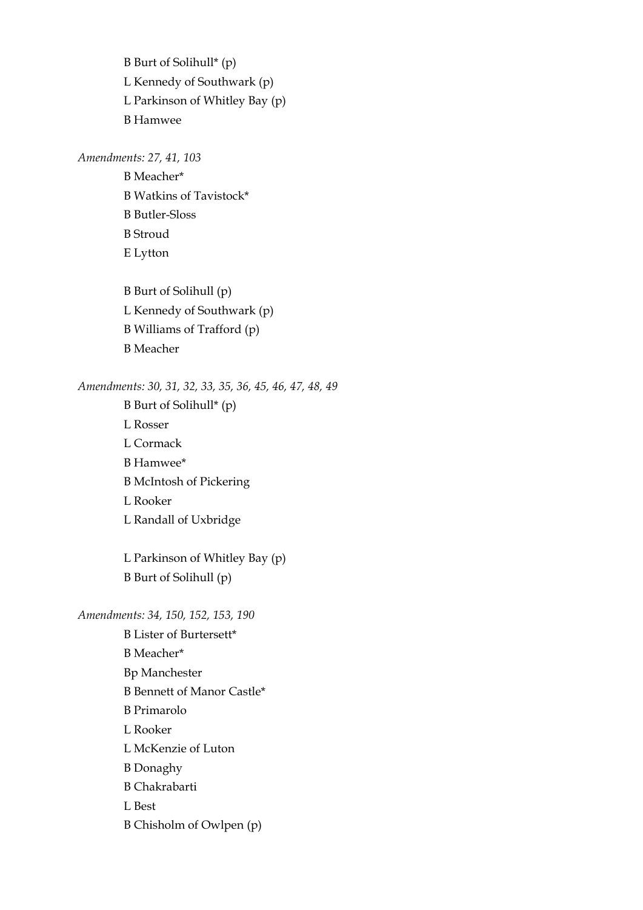B Burt of Solihull\* (p) L Kennedy of Southwark (p) L Parkinson of Whitley Bay (p) B Hamwee

*Amendments: 27, 41, 103*

B Meacher\* B Watkins of Tavistock\* B Butler-Sloss B Stroud E Lytton

B Burt of Solihull (p) L Kennedy of Southwark (p) B Williams of Trafford (p) B Meacher

*Amendments: 30, 31, 32, 33, 35, 36, 45, 46, 47, 48, 49* B Burt of Solihull\* (p) L Rosser L Cormack B Hamwee\* B McIntosh of Pickering L Rooker L Randall of Uxbridge

> L Parkinson of Whitley Bay (p) B Burt of Solihull (p)

*Amendments: 34, 150, 152, 153, 190* B Lister of Burtersett\* B Meacher\* Bp Manchester B Bennett of Manor Castle\*

> B Primarolo L Rooker

L McKenzie of Luton

B Donaghy

B Chakrabarti

L Best

B Chisholm of Owlpen (p)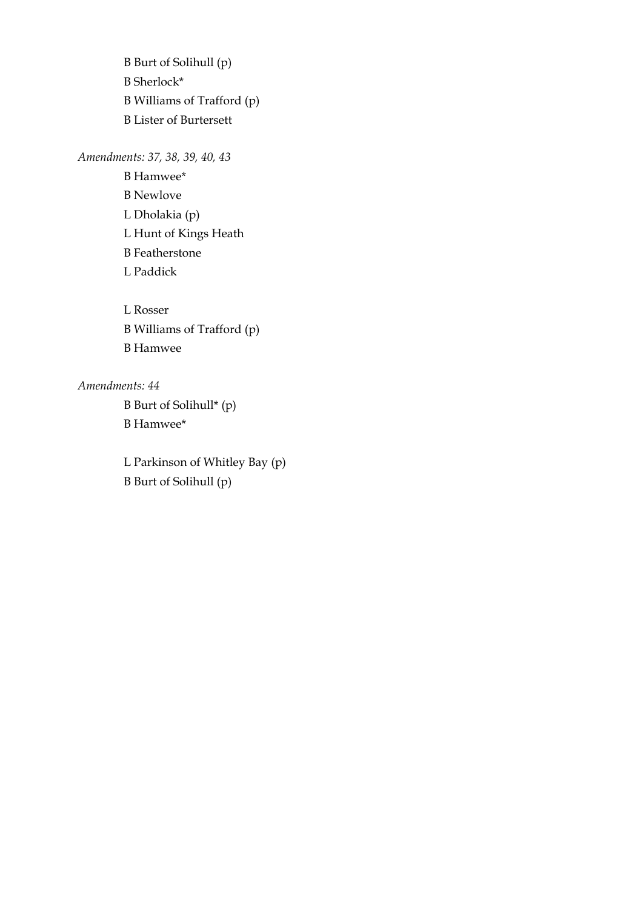B Burt of Solihull (p) B Sherlock\* B Williams of Trafford (p) B Lister of Burtersett

*Amendments: 37, 38, 39, 40, 43* B Hamwee\* B Newlove L Dholakia (p) L Hunt of Kings Heath B Featherstone L Paddick

> L Rosser B Williams of Trafford (p) B Hamwee

#### *Amendments: 44*

B Burt of Solihull\* (p) B Hamwee\*

L Parkinson of Whitley Bay (p) B Burt of Solihull (p)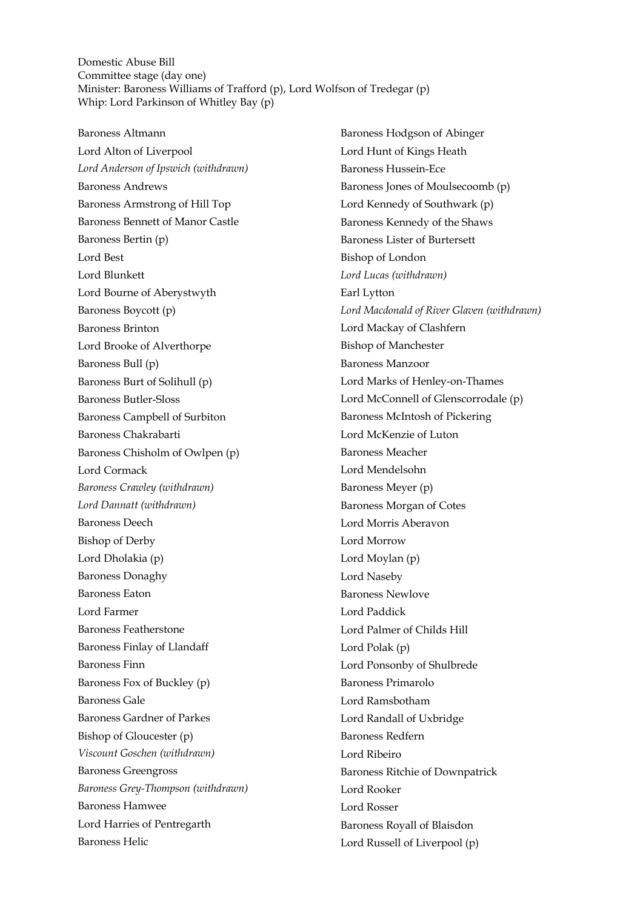Domestic Abuse Bill Committee stage (day one) Minister: Baroness Williams of Trafford (p), Lord Wolfson of Tredegar (p) Whip: Lord Parkinson of Whitley Bay (p)

Baroness Altmann Lord Alton of Liverpool *Lord Anderson of Ipswich (withdrawn)* Baroness Andrews Baroness Armstrong of Hill Top Baroness Bennett of Manor Castle Baroness Bertin (p) Lord Best Lord Blunkett Lord Bourne of Aberystwyth Baroness Boycott (p) Baroness Brinton Lord Brooke of Alverthorpe Baroness Bull (p) Baroness Burt of Solihull (p) Baroness Butler-Sloss Baroness Campbell of Surbiton Baroness Chakrabarti Baroness Chisholm of Owlpen (p) Lord Cormack *Baroness Crawley (withdrawn) Lord Dannatt (withdrawn)* Baroness Deech Bishop of Derby Lord Dholakia (p) Baroness Donaghy Baroness Eaton Lord Farmer Baroness Featherstone Baroness Finlay of Llandaff Baroness Finn Baroness Fox of Buckley (p) Baroness Gale Baroness Gardner of Parkes Bishop of Gloucester (p) *Viscount Goschen (withdrawn)* Baroness Greengross *Baroness Grey-Thompson (withdrawn)* Baroness Hamwee Lord Harries of Pentregarth Baroness Helic

Baroness Hodgson of Abinger Lord Hunt of Kings Heath Baroness Hussein-Ece Baroness Jones of Moulsecoomb (p) Lord Kennedy of Southwark (p) Baroness Kennedy of the Shaws Baroness Lister of Burtersett Bishop of London *Lord Lucas (withdrawn)* Earl Lytton *Lord Macdonald of River Glaven (withdrawn)* Lord Mackay of Clashfern Bishop of Manchester Baroness Manzoor Lord Marks of Henley-on-Thames Lord McConnell of Glenscorrodale (p) Baroness McIntosh of Pickering Lord McKenzie of Luton Baroness Meacher Lord Mendelsohn Baroness Meyer (p) Baroness Morgan of Cotes Lord Morris Aberavon Lord Morrow Lord Moylan (p) Lord Naseby Baroness Newlove Lord Paddick Lord Palmer of Childs Hill Lord Polak (p) Lord Ponsonby of Shulbrede Baroness Primarolo Lord Ramsbotham Lord Randall of Uxbridge Baroness Redfern Lord Ribeiro Baroness Ritchie of Downpatrick Lord Rooker Lord Rosser Baroness Royall of Blaisdon Lord Russell of Liverpool (p)